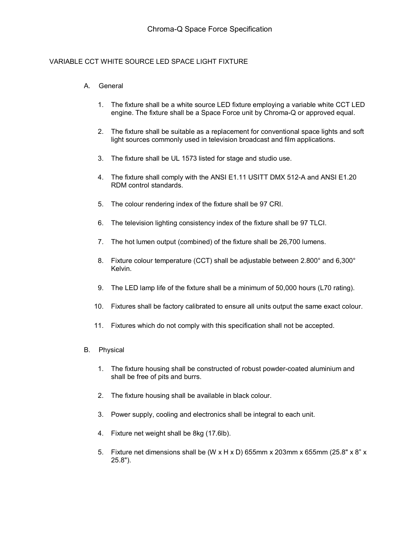## VARIABLE CCT WHITE SOURCE LED SPACE LIGHT FIXTURE

## A. General

- 1. The fixture shall be a white source LED fixture employing a variable white CCT LED engine. The fixture shall be a Space Force unit by Chroma-Q or approved equal.
- 2. The fixture shall be suitable as a replacement for conventional space lights and soft light sources commonly used in television broadcast and film applications.
- 3. The fixture shall be UL 1573 listed for stage and studio use.
- 4. The fixture shall comply with the ANSI E1.11 USITT DMX 512-A and ANSI E1.20 RDM control standards.
- 5. The colour rendering index of the fixture shall be 97 CRI.
- 6. The television lighting consistency index of the fixture shall be 97 TLCI.
- 7. The hot lumen output (combined) of the fixture shall be 26,700 lumens.
- 8. Fixture colour temperature (CCT) shall be adjustable between 2.800° and 6,300° Kelvin.
- 9. The LED lamp life of the fixture shall be a minimum of 50,000 hours (L70 rating).
- 10. Fixtures shall be factory calibrated to ensure all units output the same exact colour.
- 11. Fixtures which do not comply with this specification shall not be accepted.
- B. Physical
	- 1. The fixture housing shall be constructed of robust powder-coated aluminium and shall be free of pits and burrs.
	- 2. The fixture housing shall be available in black colour.
	- 3. Power supply, cooling and electronics shall be integral to each unit.
	- 4. Fixture net weight shall be 8kg (17.6lb).
	- 5. Fixture net dimensions shall be (W x H x D) 655mm x 203mm x 655mm (25.8" x 8" x 25.8").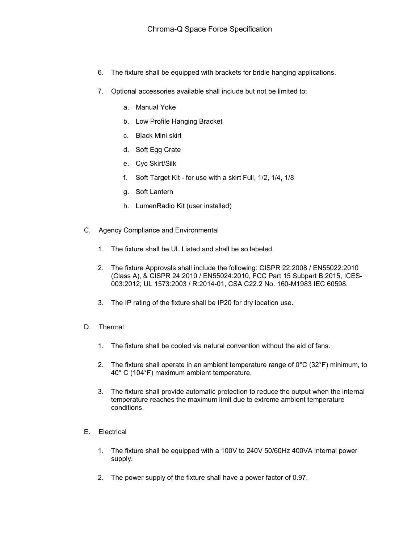- 6. The fixture shall be equipped with brackets for bridle hanging applications.
- 7. Optional accessories available shall include but not be limited to:
	- a. Manual Yoke
	- b. Low Profile Hanging Bracket
	- c. Black Mini skirt
	- d. Soft Egg Crate
	- e. Cyc Skirt/Silk
	- f. Soft Target Kit for use with a skirt Full, 1/2, 1/4, 1/8
	- g. Soft Lantern
	- h. LumenRadio Kit (user installed)
- C. Agency Compliance and Environmental
	- 1. The fixture shall be UL Listed and shall be so labeled.
	- 2. The fixture Approvals shall include the following: CISPR 22:2008 / EN55022:2010 (Class A), & CISPR 24:2010 / EN55024:2010, FCC Part 15 Subpart B:2015, ICES-003:2012; UL 1573:2003 / R:2014-01, CSA C22.2 No. 160-M1983 IEC 60598.
	- 3. The IP rating of the fixture shall be IP20 for dry location use.
- D. Thermal
	- 1. The fixture shall be cooled via natural convention without the aid of fans.
	- 2. The fixture shall operate in an ambient temperature range of  $0^{\circ}$ C (32 $^{\circ}$ F) minimum, to 40° C (104°F) maximum ambient temperature.
	- 3. The fixture shall provide automatic protection to reduce the output when the internal temperature reaches the maximum limit due to extreme ambient temperature conditions.
- E. Electrical
	- 1. The fixture shall be equipped with a 100V to 240V 50/60Hz 400VA internal power supply.
	- 2. The power supply of the fixture shall have a power factor of 0.97.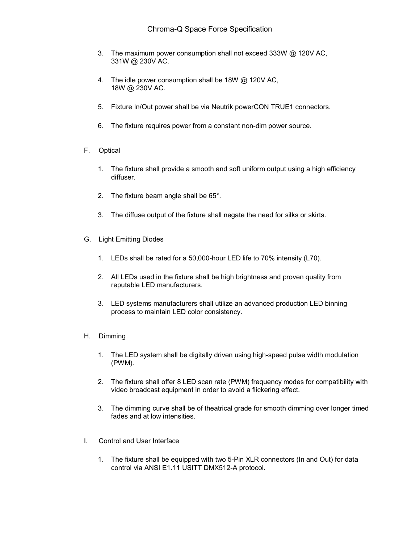# Chroma-Q Space Force Specification

- 3. The maximum power consumption shall not exceed 333W @ 120V AC, 331W @ 230V AC.
- 4. The idle power consumption shall be 18W @ 120V AC, 18W @ 230V AC.
- 5. Fixture In/Out power shall be via Neutrik powerCON TRUE1 connectors.
- 6. The fixture requires power from a constant non-dim power source.
- F. Optical
	- 1. The fixture shall provide a smooth and soft uniform output using a high efficiency diffuser.
	- 2. The fixture beam angle shall be 65°.
	- 3. The diffuse output of the fixture shall negate the need for silks or skirts.
- G. Light Emitting Diodes
	- 1. LEDs shall be rated for a 50,000-hour LED life to 70% intensity (L70).
	- 2. All LEDs used in the fixture shall be high brightness and proven quality from reputable LED manufacturers.
	- 3. LED systems manufacturers shall utilize an advanced production LED binning process to maintain LED color consistency.

### H. Dimming

- 1. The LED system shall be digitally driven using high-speed pulse width modulation (PWM).
- 2. The fixture shall offer 8 LED scan rate (PWM) frequency modes for compatibility with video broadcast equipment in order to avoid a flickering effect.
- 3. The dimming curve shall be of theatrical grade for smooth dimming over longer timed fades and at low intensities.
- I. Control and User Interface
	- 1. The fixture shall be equipped with two 5-Pin XLR connectors (In and Out) for data control via ANSI E1.11 USITT DMX512-A protocol.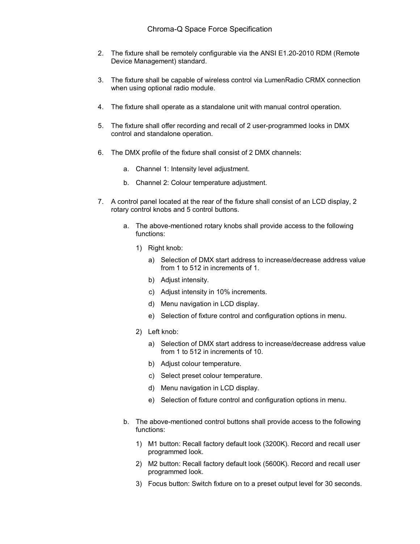- 2. The fixture shall be remotely configurable via the ANSI E1.20-2010 RDM (Remote Device Management) standard.
- 3. The fixture shall be capable of wireless control via LumenRadio CRMX connection when using optional radio module.
- 4. The fixture shall operate as a standalone unit with manual control operation.
- 5. The fixture shall offer recording and recall of 2 user-programmed looks in DMX control and standalone operation.
- 6. The DMX profile of the fixture shall consist of 2 DMX channels:
	- a. Channel 1: Intensity level adjustment.
	- b. Channel 2: Colour temperature adjustment.
- 7. A control panel located at the rear of the fixture shall consist of an LCD display, 2 rotary control knobs and 5 control buttons.
	- a. The above-mentioned rotary knobs shall provide access to the following functions:
		- 1) Right knob:
			- a) Selection of DMX start address to increase/decrease address value from 1 to 512 in increments of 1.
			- b) Adjust intensity.
			- c) Adjust intensity in 10% increments.
			- d) Menu navigation in LCD display.
			- e) Selection of fixture control and configuration options in menu.
		- 2) Left knob:
			- a) Selection of DMX start address to increase/decrease address value from 1 to 512 in increments of 10.
			- b) Adjust colour temperature.
			- c) Select preset colour temperature.
			- d) Menu navigation in LCD display.
			- e) Selection of fixture control and configuration options in menu.
	- b. The above-mentioned control buttons shall provide access to the following functions:
		- 1) M1 button: Recall factory default look (3200K). Record and recall user programmed look.
		- 2) M2 button: Recall factory default look (5600K). Record and recall user programmed look.
		- 3) Focus button: Switch fixture on to a preset output level for 30 seconds.